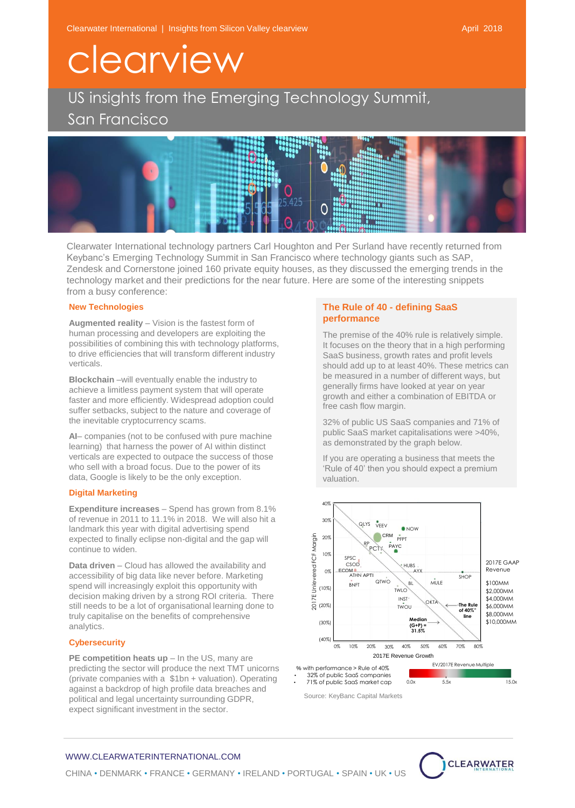## clearview

US insights from the Emerging Technology Summit, San Francisco



Clearwater International technology partners Carl Houghton and Per Surland have recently returned from Keybanc's Emerging Technology Summit in San Francisco where technology giants such as SAP, Zendesk and Cornerstone joined 160 private equity houses, as they discussed the emerging trends in the technology market and their predictions for the near future. Here are some of the interesting snippets from a busy conference:

#### **New Technologies**

**Augmented reality** – Vision is the fastest form of human processing and developers are exploiting the possibilities of combining this with technology platforms, to drive efficiencies that will transform different industry verticals.

**Blockchain** –will eventually enable the industry to achieve a limitless payment system that will operate faster and more efficiently. Widespread adoption could suffer setbacks, subject to the nature and coverage of the inevitable cryptocurrency scams.

**AI**– companies (not to be confused with pure machine learning) that harness the power of AI within distinct verticals are expected to outpace the success of those who sell with a broad focus. Due to the power of its data, Google is likely to be the only exception.

### **Digital Marketing**

**Expenditure increases** – Spend has grown from 8.1% of revenue in 2011 to 11.1% in 2018. We will also hit a landmark this year with digital advertising spend expected to finally eclipse non-digital and the gap will continue to widen.

**Data driven** – Cloud has allowed the availability and accessibility of big data like never before. Marketing spend will increasingly exploit this opportunity with decision making driven by a strong ROI criteria. There still needs to be a lot of organisational learning done to truly capitalise on the benefits of comprehensive analytics.

#### **Cybersecurity**

**PE competition heats up - In the US, many are** predicting the sector will produce the next TMT unicorns (private companies with a \$1bn + valuation). Operating against a backdrop of high profile data breaches and political and legal uncertainty surrounding GDPR, expect significant investment in the sector.

## **The Rule of 40 - defining SaaS performance**

The premise of the 40% rule is relatively simple. It focuses on the theory that in a high performing SaaS business, growth rates and profit levels should add up to at least 40%. These metrics can be measured in a number of different ways, but generally firms have looked at year on year growth and either a combination of EBITDA or free cash flow margin.

32% of public US SaaS companies and 71% of public SaaS market capitalisations were >40%, as demonstrated by the graph below.

If you are operating a business that meets the 'Rule of 40' then you should expect a premium valuation.



Source: KeyBanc Capital Markets



## WWW.CLEARWATERINTERNATIONAL.COM